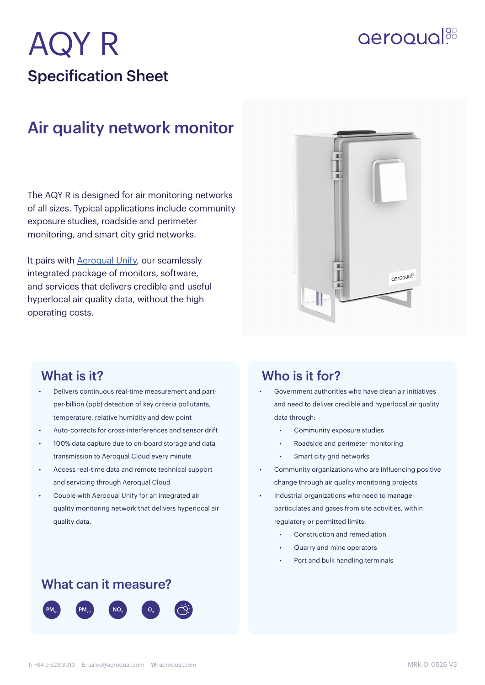# AQY R Specification Sheet

# **aeroqual**<sup>88</sup>

## Air quality network monitor

The AQY R is designed for air monitoring networks of all sizes. Typical applications include community exposure studies, roadside and perimeter monitoring, and smart city grid networks.

It pairs with [Aeroqual Unify,](https://www.aeroqual.com/products/software-services/aeroqual-unify) our seamlessly integrated package of monitors, software, and services that delivers credible and useful hyperlocal air quality data, without the high operating costs.



- Delivers continuous real-time measurement and partper-billion (ppb) detection of key criteria pollutants, temperature, relative humidity and dew point
- Auto-corrects for cross-interferences and sensor drift
- 100% data capture due to on-board storage and data transmission to Aeroqual Cloud every minute
- Access real-time data and remote technical support and servicing through Aeroqual Cloud
- Couple with Aeroqual Unify for an integrated air quality monitoring network that delivers hyperlocal air quality data.

### What can it measure?



### What is it? Who is it for?

- Government authorities who have clean air initiatives and need to deliver credible and hyperlocal air quality data through:
	- Community exposure studies
	- Roadside and perimeter monitoring
	- Smart city grid networks
- Community organizations who are influencing positive change through air quality monitoring projects
- Industrial organizations who need to manage particulates and gases from site activities, within regulatory or permitted limits:
	- Construction and remediation
	- Quarry and mine operators
	- Port and bulk handling terminals